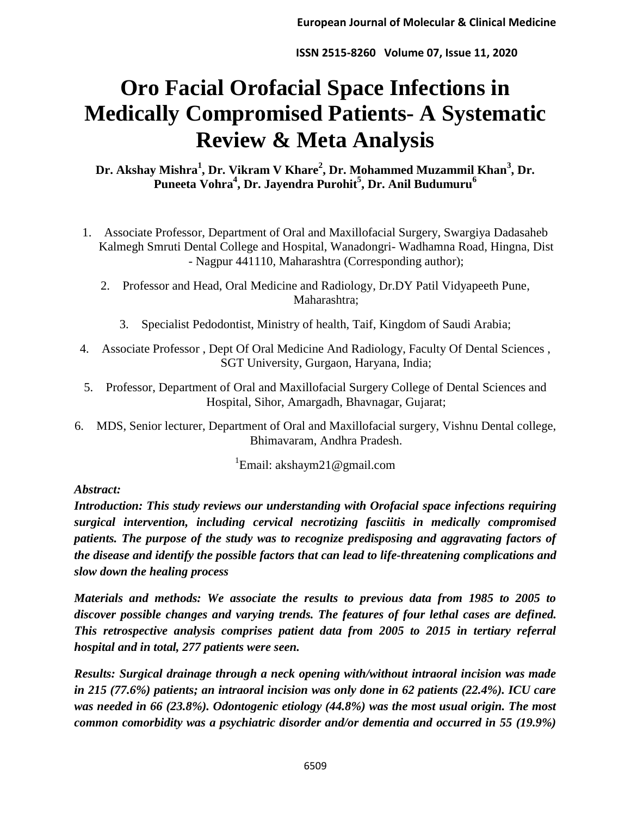# **Oro Facial Orofacial Space Infections in Medically Compromised Patients- A Systematic Review & Meta Analysis**

**Dr. Akshay Mishra<sup>1</sup> , Dr. Vikram V Khare<sup>2</sup> , Dr. Mohammed Muzammil Khan<sup>3</sup> , Dr. Puneeta Vohra<sup>4</sup> , Dr. Jayendra Purohit<sup>5</sup> , Dr. Anil Budumuru<sup>6</sup>**

- 1. Associate Professor, Department of Oral and Maxillofacial Surgery, Swargiya Dadasaheb Kalmegh Smruti Dental College and Hospital, Wanadongri- Wadhamna Road, Hingna, Dist - Nagpur 441110, Maharashtra (Corresponding author);
	- 2. Professor and Head, Oral Medicine and Radiology, Dr.DY Patil Vidyapeeth Pune, Maharashtra;
		- 3. Specialist Pedodontist, Ministry of health, Taif, Kingdom of Saudi Arabia;
- 4. Associate Professor , Dept Of Oral Medicine And Radiology, Faculty Of Dental Sciences , SGT University, Gurgaon, Haryana, India;
- 5. Professor, Department of Oral and Maxillofacial Surgery College of Dental Sciences and Hospital, Sihor, Amargadh, Bhavnagar, Gujarat;
- 6. MDS, Senior lecturer, Department of Oral and Maxillofacial surgery, Vishnu Dental college, Bhimavaram, Andhra Pradesh.

<sup>1</sup>Email: akshaym21@gmail.com

### *Abstract:*

*Introduction: This study reviews our understanding with Orofacial space infections requiring surgical intervention, including cervical necrotizing fasciitis in medically compromised patients. The purpose of the study was to recognize predisposing and aggravating factors of the disease and identify the possible factors that can lead to life-threatening complications and slow down the healing process* 

*Materials and methods: We associate the results to previous data from 1985 to 2005 to discover possible changes and varying trends. The features of four lethal cases are defined. This retrospective analysis comprises patient data from 2005 to 2015 in tertiary referral hospital and in total, 277 patients were seen.*

*Results: Surgical drainage through a neck opening with/without intraoral incision was made in 215 (77.6%) patients; an intraoral incision was only done in 62 patients (22.4%). ICU care was needed in 66 (23.8%). Odontogenic etiology (44.8%) was the most usual origin. The most common comorbidity was a psychiatric disorder and/or dementia and occurred in 55 (19.9%)*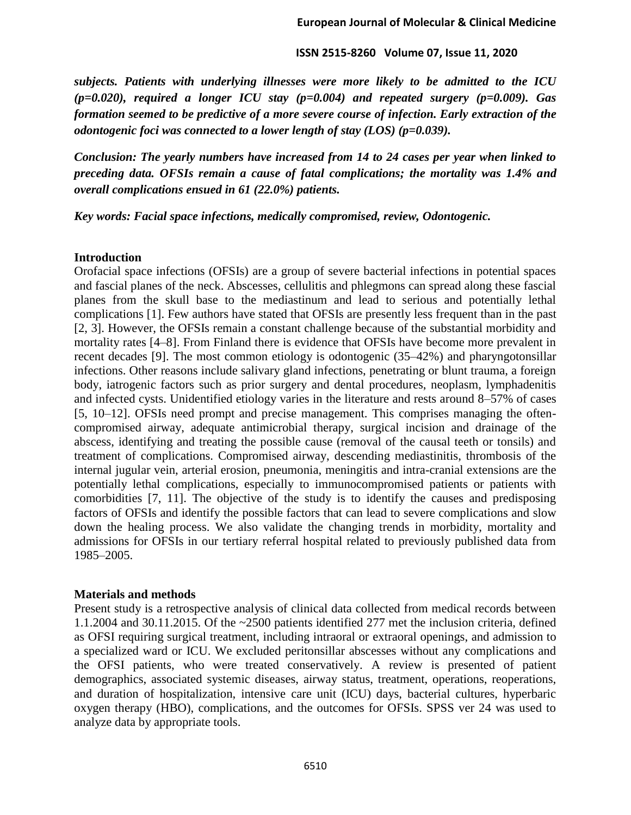*subjects. Patients with underlying illnesses were more likely to be admitted to the ICU (p=0.020), required a longer ICU stay (p=0.004) and repeated surgery (p=0.009). Gas formation seemed to be predictive of a more severe course of infection. Early extraction of the odontogenic foci was connected to a lower length of stay (LOS) (p=0.039).*

*Conclusion: The yearly numbers have increased from 14 to 24 cases per year when linked to preceding data. OFSIs remain a cause of fatal complications; the mortality was 1.4% and overall complications ensued in 61 (22.0%) patients.*

*Key words: Facial space infections, medically compromised, review, Odontogenic.* 

#### **Introduction**

Orofacial space infections (OFSIs) are a group of severe bacterial infections in potential spaces and fascial planes of the neck. Abscesses, cellulitis and phlegmons can spread along these fascial planes from the skull base to the mediastinum and lead to serious and potentially lethal complications [1]. Few authors have stated that OFSIs are presently less frequent than in the past [2, 3]. However, the OFSIs remain a constant challenge because of the substantial morbidity and mortality rates [4–8]. From Finland there is evidence that OFSIs have become more prevalent in recent decades [9]. The most common etiology is odontogenic (35–42%) and pharyngotonsillar infections. Other reasons include salivary gland infections, penetrating or blunt trauma, a foreign body, iatrogenic factors such as prior surgery and dental procedures, neoplasm, lymphadenitis and infected cysts. Unidentified etiology varies in the literature and rests around 8–57% of cases [5, 10–12]. OFSIs need prompt and precise management. This comprises managing the oftencompromised airway, adequate antimicrobial therapy, surgical incision and drainage of the abscess, identifying and treating the possible cause (removal of the causal teeth or tonsils) and treatment of complications. Compromised airway, descending mediastinitis, thrombosis of the internal jugular vein, arterial erosion, pneumonia, meningitis and intra-cranial extensions are the potentially lethal complications, especially to immunocompromised patients or patients with comorbidities [7, 11]. The objective of the study is to identify the causes and predisposing factors of OFSIs and identify the possible factors that can lead to severe complications and slow down the healing process. We also validate the changing trends in morbidity, mortality and admissions for OFSIs in our tertiary referral hospital related to previously published data from 1985–2005.

#### **Materials and methods**

Present study is a retrospective analysis of clinical data collected from medical records between 1.1.2004 and 30.11.2015. Of the ~2500 patients identified 277 met the inclusion criteria, defined as OFSI requiring surgical treatment, including intraoral or extraoral openings, and admission to a specialized ward or ICU. We excluded peritonsillar abscesses without any complications and the OFSI patients, who were treated conservatively. A review is presented of patient demographics, associated systemic diseases, airway status, treatment, operations, reoperations, and duration of hospitalization, intensive care unit (ICU) days, bacterial cultures, hyperbaric oxygen therapy (HBO), complications, and the outcomes for OFSIs. SPSS ver 24 was used to analyze data by appropriate tools.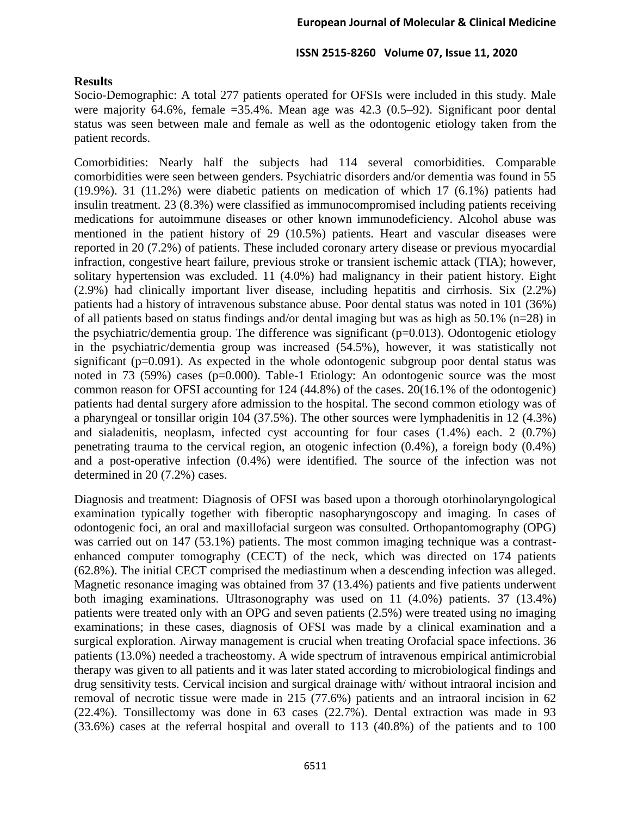#### **Results**

Socio-Demographic: A total 277 patients operated for OFSIs were included in this study. Male were majority 64.6%, female =35.4%. Mean age was 42.3 (0.5–92). Significant poor dental status was seen between male and female as well as the odontogenic etiology taken from the patient records.

Comorbidities: Nearly half the subjects had 114 several comorbidities. Comparable comorbidities were seen between genders. Psychiatric disorders and/or dementia was found in 55 (19.9%). 31 (11.2%) were diabetic patients on medication of which 17 (6.1%) patients had insulin treatment. 23 (8.3%) were classified as immunocompromised including patients receiving medications for autoimmune diseases or other known immunodeficiency. Alcohol abuse was mentioned in the patient history of 29 (10.5%) patients. Heart and vascular diseases were reported in 20 (7.2%) of patients. These included coronary artery disease or previous myocardial infraction, congestive heart failure, previous stroke or transient ischemic attack (TIA); however, solitary hypertension was excluded. 11 (4.0%) had malignancy in their patient history. Eight (2.9%) had clinically important liver disease, including hepatitis and cirrhosis. Six (2.2%) patients had a history of intravenous substance abuse. Poor dental status was noted in 101 (36%) of all patients based on status findings and/or dental imaging but was as high as  $50.1\%$  (n=28) in the psychiatric/dementia group. The difference was significant  $(p=0.013)$ . Odontogenic etiology in the psychiatric/dementia group was increased (54.5%), however, it was statistically not significant (p=0.091). As expected in the whole odontogenic subgroup poor dental status was noted in 73 (59%) cases (p=0.000). Table-1 Etiology: An odontogenic source was the most common reason for OFSI accounting for 124 (44.8%) of the cases. 20(16.1% of the odontogenic) patients had dental surgery afore admission to the hospital. The second common etiology was of a pharyngeal or tonsillar origin 104 (37.5%). The other sources were lymphadenitis in 12 (4.3%) and sialadenitis, neoplasm, infected cyst accounting for four cases (1.4%) each. 2 (0.7%) penetrating trauma to the cervical region, an otogenic infection (0.4%), a foreign body (0.4%) and a post-operative infection (0.4%) were identified. The source of the infection was not determined in 20 (7.2%) cases.

Diagnosis and treatment: Diagnosis of OFSI was based upon a thorough otorhinolaryngological examination typically together with fiberoptic nasopharyngoscopy and imaging. In cases of odontogenic foci, an oral and maxillofacial surgeon was consulted. Orthopantomography (OPG) was carried out on 147 (53.1%) patients. The most common imaging technique was a contrastenhanced computer tomography (CECT) of the neck, which was directed on 174 patients (62.8%). The initial CECT comprised the mediastinum when a descending infection was alleged. Magnetic resonance imaging was obtained from 37 (13.4%) patients and five patients underwent both imaging examinations. Ultrasonography was used on 11 (4.0%) patients. 37 (13.4%) patients were treated only with an OPG and seven patients (2.5%) were treated using no imaging examinations; in these cases, diagnosis of OFSI was made by a clinical examination and a surgical exploration. Airway management is crucial when treating Orofacial space infections. 36 patients (13.0%) needed a tracheostomy. A wide spectrum of intravenous empirical antimicrobial therapy was given to all patients and it was later stated according to microbiological findings and drug sensitivity tests. Cervical incision and surgical drainage with/ without intraoral incision and removal of necrotic tissue were made in 215 (77.6%) patients and an intraoral incision in 62 (22.4%). Tonsillectomy was done in 63 cases (22.7%). Dental extraction was made in 93 (33.6%) cases at the referral hospital and overall to 113 (40.8%) of the patients and to 100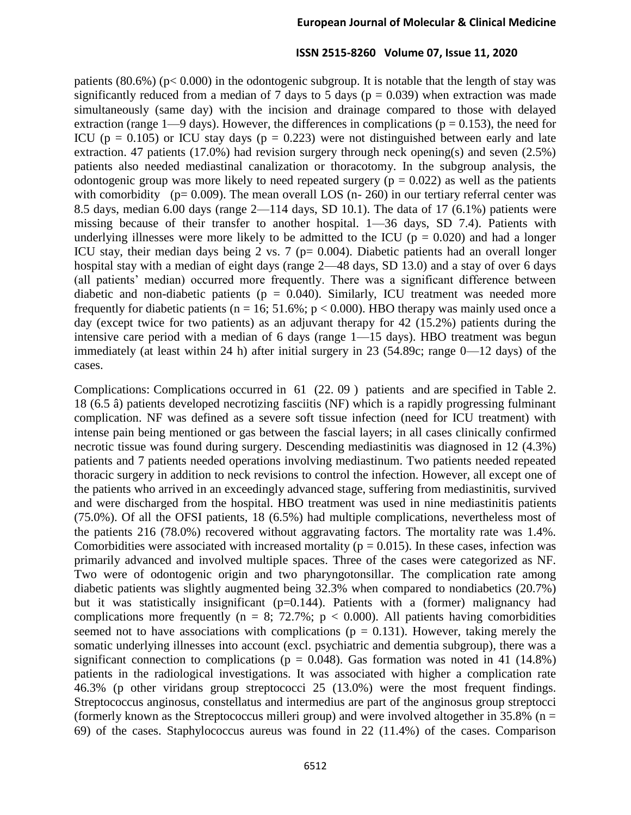patients  $(80.6\%)$  (p< 0.000) in the odontogenic subgroup. It is notable that the length of stay was significantly reduced from a median of 7 days to 5 days ( $p = 0.039$ ) when extraction was made simultaneously (same day) with the incision and drainage compared to those with delayed extraction (range  $1-9$  days). However, the differences in complications ( $p = 0.153$ ), the need for ICU ( $p = 0.105$ ) or ICU stay days ( $p = 0.223$ ) were not distinguished between early and late extraction. 47 patients (17.0%) had revision surgery through neck opening(s) and seven (2.5%) patients also needed mediastinal canalization or thoracotomy. In the subgroup analysis, the odontogenic group was more likely to need repeated surgery ( $p = 0.022$ ) as well as the patients with comorbidity ( $p= 0.009$ ). The mean overall LOS (n- 260) in our tertiary referral center was 8.5 days, median 6.00 days (range  $2$ —114 days, SD 10.1). The data of 17 (6.1%) patients were missing because of their transfer to another hospital. 1—36 days, SD 7.4). Patients with underlying illnesses were more likely to be admitted to the ICU ( $p = 0.020$ ) and had a longer ICU stay, their median days being 2 vs. 7 ( $p= 0.004$ ). Diabetic patients had an overall longer hospital stay with a median of eight days (range 2—48 days, SD 13.0) and a stay of over 6 days (all patients' median) occurred more frequently. There was a significant difference between diabetic and non-diabetic patients ( $p = 0.040$ ). Similarly, ICU treatment was needed more frequently for diabetic patients ( $n = 16$ ; 51.6%;  $p < 0.000$ ). HBO therapy was mainly used once a day (except twice for two patients) as an adjuvant therapy for 42 (15.2%) patients during the intensive care period with a median of 6 days (range 1—15 days). HBO treatment was begun immediately (at least within 24 h) after initial surgery in 23 (54.89c; range 0—12 days) of the cases.

Complications: Complications occurred in 61 (22. 09 ) patients and are specified in Table 2. 18 (6.5 â) patients developed necrotizing fasciitis (NF) which is a rapidly progressing fulminant complication. NF was defined as a severe soft tissue infection (need for ICU treatment) with intense pain being mentioned or gas between the fascial layers; in all cases clinically confirmed necrotic tissue was found during surgery. Descending mediastinitis was diagnosed in 12 (4.3%) patients and 7 patients needed operations involving mediastinum. Two patients needed repeated thoracic surgery in addition to neck revisions to control the infection. However, all except one of the patients who arrived in an exceedingly advanced stage, suffering from mediastinitis, survived and were discharged from the hospital. HBO treatment was used in nine mediastinitis patients (75.0%). Of all the OFSI patients, 18 (6.5%) had multiple complications, nevertheless most of the patients 216 (78.0%) recovered without aggravating factors. The mortality rate was 1.4%. Comorbidities were associated with increased mortality ( $p = 0.015$ ). In these cases, infection was primarily advanced and involved multiple spaces. Three of the cases were categorized as NF. Two were of odontogenic origin and two pharyngotonsillar. The complication rate among diabetic patients was slightly augmented being 32.3% when compared to nondiabetics (20.7%) but it was statistically insignificant (p=0.144). Patients with a (former) malignancy had complications more frequently (n = 8; 72.7%;  $p < 0.000$ ). All patients having comorbidities seemed not to have associations with complications ( $p = 0.131$ ). However, taking merely the somatic underlying illnesses into account (excl. psychiatric and dementia subgroup), there was a significant connection to complications ( $p = 0.048$ ). Gas formation was noted in 41 (14.8%) patients in the radiological investigations. It was associated with higher a complication rate 46.3% (p other viridans group streptococci 25 (13.0%) were the most frequent findings. Streptococcus anginosus, constellatus and intermedius are part of the anginosus group streptocci (formerly known as the Streptococcus milleri group) and were involved altogether in  $35.8\%$  (n = 69) of the cases. Staphylococcus aureus was found in 22 (11.4%) of the cases. Comparison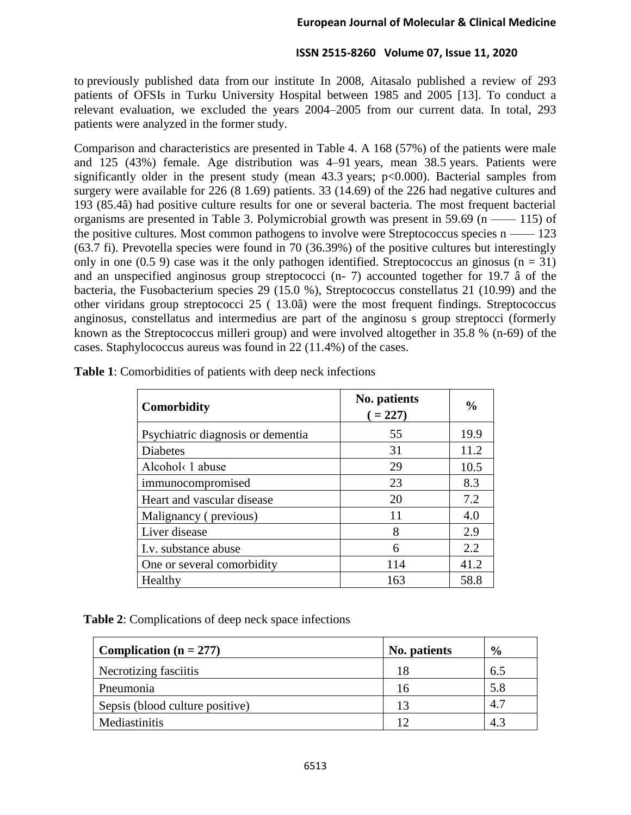to previously published data from our institute In 2008, Aitasalo published a review of 293 patients of OFSIs in Turku University Hospital between 1985 and 2005 [13]. To conduct a relevant evaluation, we excluded the years 2004–2005 from our current data. In total, 293 patients were analyzed in the former study.

Comparison and characteristics are presented in Table 4. A 168 (57%) of the patients were male and 125 (43%) female. Age distribution was 4–91 years, mean 38.5 years. Patients were significantly older in the present study (mean 43.3 years; p<0.000). Bacterial samples from surgery were available for 226 (8 1.69) patients. 33 (14.69) of the 226 had negative cultures and 193 (85.4â) had positive culture results for one or several bacteria. The most frequent bacterial organisms are presented in Table 3. Polymicrobial growth was present in 59.69  $(n \rightarrow 115)$  of the positive cultures. Most common pathogens to involve were Streptococcus species  $n \rightarrow 123$ (63.7 fi). Prevotella species were found in 70 (36.39%) of the positive cultures but interestingly only in one (0.5 9) case was it the only pathogen identified. Streptococcus an ginosus ( $n = 31$ ) and an unspecified anginosus group streptococci (n- 7) accounted together for 19.7 â of the bacteria, the Fusobacterium species 29 (15.0 %), Streptococcus constellatus 21 (10.99) and the other viridans group streptococci 25 ( 13.0â) were the most frequent findings. Streptococcus anginosus, constellatus and intermedius are part of the anginosu s group streptocci (formerly known as the Streptococcus milleri group) and were involved altogether in 35.8 % (n-69) of the cases. Staphylococcus aureus was found in 22 (11.4%) of the cases.

| Comorbidity                       | No. patients<br>$(=227)$ | $\frac{0}{0}$ |
|-----------------------------------|--------------------------|---------------|
| Psychiatric diagnosis or dementia | 55                       | 19.9          |
| <b>Diabetes</b>                   | 31                       | 11.2          |
| Alcohol< 1 abuse                  | 29                       | 10.5          |
| immunocompromised                 | 23                       | 8.3           |
| Heart and vascular disease        | 20                       | 7.2           |
| Malignancy (previous)             | 11                       | 4.0           |
| Liver disease                     | 8                        | 2.9           |
| I.v. substance abuse              | 6                        | 2.2           |
| One or several comorbidity        | 114                      | 41.2          |
| Healthy                           | 163                      | 58.8          |

**Table 1**: Comorbidities of patients with deep neck infections

**Table 2**: Complications of deep neck space infections

| Complication ( $n = 277$ )      | No. patients | $\frac{6}{9}$ |
|---------------------------------|--------------|---------------|
| Necrotizing fasciitis           | 18           | 6.5           |
| Pneumonia                       | 16           | 5.8           |
| Sepsis (blood culture positive) | 13           | 4.7           |
| Mediastinitis                   |              | 4.3           |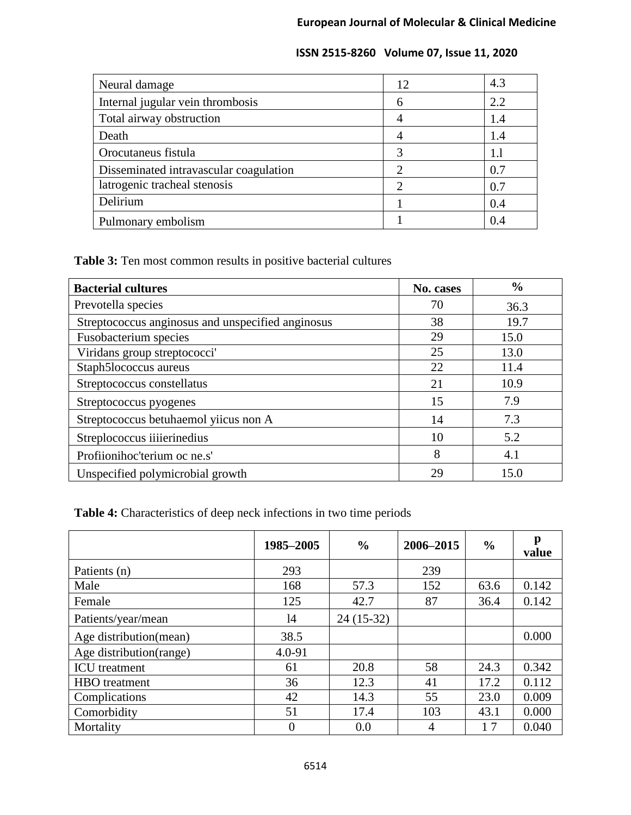| Neural damage                          | 12                          | 4.3 |
|----------------------------------------|-----------------------------|-----|
| Internal jugular vein thrombosis       | 6                           | 2.2 |
| Total airway obstruction               |                             | 1.4 |
| Death                                  |                             | 1.4 |
| Orocutaneus fistula                    | 3                           | 1.1 |
| Disseminated intravascular coagulation | $\mathcal{D}_{\mathcal{A}}$ | 0.7 |
| latrogenic tracheal stenosis           | $\mathcal{D}_{\mathcal{L}}$ | 0.7 |
| Delirium                               |                             | 0.4 |
| Pulmonary embolism                     |                             | 0.4 |

**Table 3:** Ten most common results in positive bacterial cultures

| <b>Bacterial cultures</b>                         | No. cases | $\frac{0}{0}$ |
|---------------------------------------------------|-----------|---------------|
| Prevotella species                                | 70        | 36.3          |
| Streptococcus anginosus and unspecified anginosus | 38        | 19.7          |
| Fusobacterium species                             | 29        | 15.0          |
| Viridans group streptococci'                      | 25        | 13.0          |
| Staph5lococcus aureus                             | 22        | 11.4          |
| Streptococcus constellatus                        | 21        | 10.9          |
| Streptococcus pyogenes                            | 15        | 7.9           |
| Streptococcus betuhaemol yiicus non A             | 14        | 7.3           |
| Streplococcus iiiierinedius                       | 10        | 5.2           |
| Profiionihoc'terium oc ne.s'                      | 8         | 4.1           |
| Unspecified polymicrobial growth                  | 29        | 15.0          |

**Table 4:** Characteristics of deep neck infections in two time periods

|                         | 1985-2005 | $\frac{6}{6}$ | 2006-2015 | $\frac{0}{0}$ | p<br>value |
|-------------------------|-----------|---------------|-----------|---------------|------------|
| Patients (n)            | 293       |               | 239       |               |            |
| Male                    | 168       | 57.3          | 152       | 63.6          | 0.142      |
| Female                  | 125       | 42.7          | 87        | 36.4          | 0.142      |
| Patients/year/mean      | 14        | $24(15-32)$   |           |               |            |
| Age distribution(mean)  | 38.5      |               |           |               | 0.000      |
| Age distribution(range) | 4.0-91    |               |           |               |            |
| <b>ICU</b> treatment    | 61        | 20.8          | 58        | 24.3          | 0.342      |
| <b>HBO</b> treatment    | 36        | 12.3          | 41        | 17.2          | 0.112      |
| Complications           | 42        | 14.3          | 55        | 23.0          | 0.009      |
| Comorbidity             | 51        | 17.4          | 103       | 43.1          | 0.000      |
| Mortality               | $\Omega$  | 0.0           | 4         | 17            | 0.040      |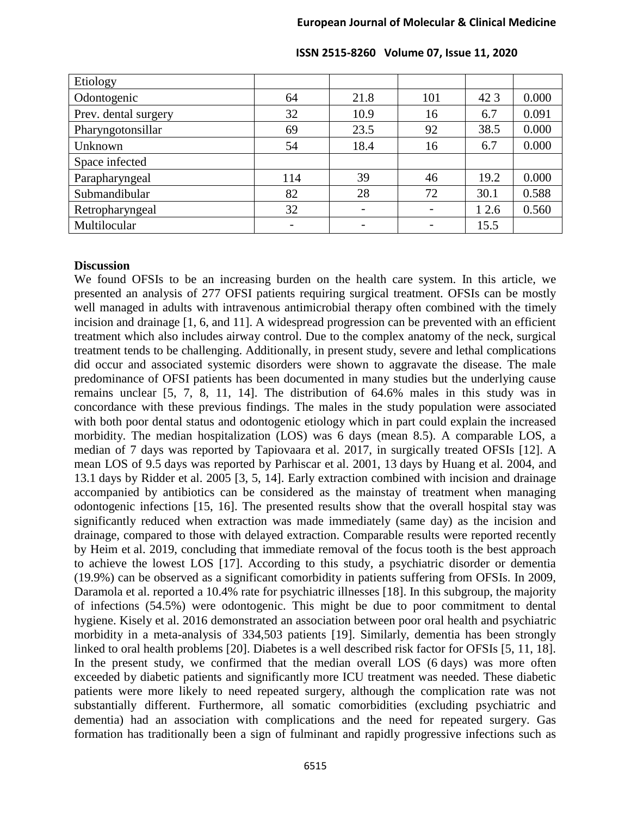| Etiology             |     |      |     |       |       |
|----------------------|-----|------|-----|-------|-------|
| Odontogenic          | 64  | 21.8 | 101 | 42 3  | 0.000 |
| Prev. dental surgery | 32  | 10.9 | 16  | 6.7   | 0.091 |
| Pharyngotonsillar    | 69  | 23.5 | 92  | 38.5  | 0.000 |
| Unknown              | 54  | 18.4 | 16  | 6.7   | 0.000 |
| Space infected       |     |      |     |       |       |
| Parapharyngeal       | 114 | 39   | 46  | 19.2  | 0.000 |
| Submandibular        | 82  | 28   | 72  | 30.1  | 0.588 |
| Retropharyngeal      | 32  |      |     | 1 2.6 | 0.560 |
| Multilocular         |     |      |     | 15.5  |       |

#### **Discussion**

We found OFSIs to be an increasing burden on the health care system. In this article, we presented an analysis of 277 OFSI patients requiring surgical treatment. OFSIs can be mostly well managed in adults with intravenous antimicrobial therapy often combined with the timely incision and drainage [1, 6, and 11]. A widespread progression can be prevented with an efficient treatment which also includes airway control. Due to the complex anatomy of the neck, surgical treatment tends to be challenging. Additionally, in present study, severe and lethal complications did occur and associated systemic disorders were shown to aggravate the disease. The male predominance of OFSI patients has been documented in many studies but the underlying cause remains unclear [5, 7, 8, 11, 14]. The distribution of 64.6% males in this study was in concordance with these previous findings. The males in the study population were associated with both poor dental status and odontogenic etiology which in part could explain the increased morbidity. The median hospitalization (LOS) was 6 days (mean 8.5). A comparable LOS, a median of 7 days was reported by Tapiovaara et al. 2017, in surgically treated OFSIs [12]. A mean LOS of 9.5 days was reported by Parhiscar et al. 2001, 13 days by Huang et al. 2004, and 13.1 days by Ridder et al. 2005 [3, 5, 14]. Early extraction combined with incision and drainage accompanied by antibiotics can be considered as the mainstay of treatment when managing odontogenic infections [15, 16]. The presented results show that the overall hospital stay was significantly reduced when extraction was made immediately (same day) as the incision and drainage, compared to those with delayed extraction. Comparable results were reported recently by Heim et al. 2019, concluding that immediate removal of the focus tooth is the best approach to achieve the lowest LOS [17]. According to this study, a psychiatric disorder or dementia (19.9%) can be observed as a significant comorbidity in patients suffering from OFSIs. In 2009, Daramola et al. reported a 10.4% rate for psychiatric illnesses [18]. In this subgroup, the majority of infections (54.5%) were odontogenic. This might be due to poor commitment to dental hygiene. Kisely et al. 2016 demonstrated an association between poor oral health and psychiatric morbidity in a meta-analysis of 334,503 patients [19]. Similarly, dementia has been strongly linked to oral health problems [20]. Diabetes is a well described risk factor for OFSIs [5, 11, 18]. In the present study, we confirmed that the median overall LOS (6 days) was more often exceeded by diabetic patients and significantly more ICU treatment was needed. These diabetic patients were more likely to need repeated surgery, although the complication rate was not substantially different. Furthermore, all somatic comorbidities (excluding psychiatric and dementia) had an association with complications and the need for repeated surgery. Gas formation has traditionally been a sign of fulminant and rapidly progressive infections such as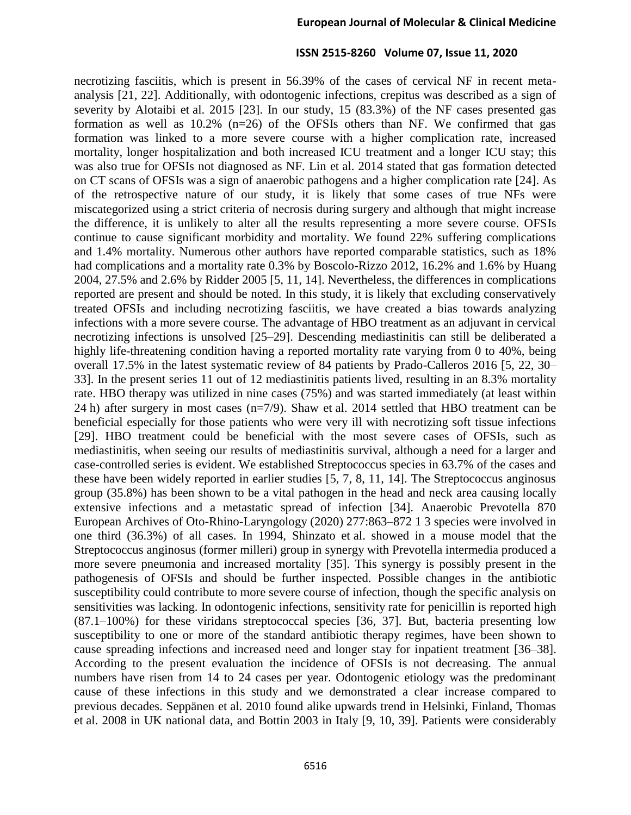necrotizing fasciitis, which is present in 56.39% of the cases of cervical NF in recent metaanalysis [21, 22]. Additionally, with odontogenic infections, crepitus was described as a sign of severity by Alotaibi et al. 2015 [23]. In our study, 15 (83.3%) of the NF cases presented gas formation as well as  $10.2\%$  (n=26) of the OFSIs others than NF. We confirmed that gas formation was linked to a more severe course with a higher complication rate, increased mortality, longer hospitalization and both increased ICU treatment and a longer ICU stay; this was also true for OFSIs not diagnosed as NF. Lin et al. 2014 stated that gas formation detected on CT scans of OFSIs was a sign of anaerobic pathogens and a higher complication rate [24]. As of the retrospective nature of our study, it is likely that some cases of true NFs were miscategorized using a strict criteria of necrosis during surgery and although that might increase the difference, it is unlikely to alter all the results representing a more severe course. OFSIs continue to cause significant morbidity and mortality. We found 22% suffering complications and 1.4% mortality. Numerous other authors have reported comparable statistics, such as 18% had complications and a mortality rate 0.3% by Boscolo-Rizzo 2012, 16.2% and 1.6% by Huang 2004, 27.5% and 2.6% by Ridder 2005 [5, 11, 14]. Nevertheless, the differences in complications reported are present and should be noted. In this study, it is likely that excluding conservatively treated OFSIs and including necrotizing fasciitis, we have created a bias towards analyzing infections with a more severe course. The advantage of HBO treatment as an adjuvant in cervical necrotizing infections is unsolved [25–29]. Descending mediastinitis can still be deliberated a highly life-threatening condition having a reported mortality rate varying from 0 to 40%, being overall 17.5% in the latest systematic review of 84 patients by Prado-Calleros 2016 [5, 22, 30– 33]. In the present series 11 out of 12 mediastinitis patients lived, resulting in an 8.3% mortality rate. HBO therapy was utilized in nine cases (75%) and was started immediately (at least within 24 h) after surgery in most cases (n=7/9). Shaw et al. 2014 settled that HBO treatment can be beneficial especially for those patients who were very ill with necrotizing soft tissue infections [29]. HBO treatment could be beneficial with the most severe cases of OFSIs, such as mediastinitis, when seeing our results of mediastinitis survival, although a need for a larger and case-controlled series is evident. We established Streptococcus species in 63.7% of the cases and these have been widely reported in earlier studies [5, 7, 8, 11, 14]. The Streptococcus anginosus group (35.8%) has been shown to be a vital pathogen in the head and neck area causing locally extensive infections and a metastatic spread of infection [34]. Anaerobic Prevotella 870 European Archives of Oto-Rhino-Laryngology (2020) 277:863–872 1 3 species were involved in one third (36.3%) of all cases. In 1994, Shinzato et al. showed in a mouse model that the Streptococcus anginosus (former milleri) group in synergy with Prevotella intermedia produced a more severe pneumonia and increased mortality [35]. This synergy is possibly present in the pathogenesis of OFSIs and should be further inspected. Possible changes in the antibiotic susceptibility could contribute to more severe course of infection, though the specific analysis on sensitivities was lacking. In odontogenic infections, sensitivity rate for penicillin is reported high (87.1–100%) for these viridans streptococcal species [36, 37]. But, bacteria presenting low susceptibility to one or more of the standard antibiotic therapy regimes, have been shown to cause spreading infections and increased need and longer stay for inpatient treatment [36–38]. According to the present evaluation the incidence of OFSIs is not decreasing. The annual numbers have risen from 14 to 24 cases per year. Odontogenic etiology was the predominant cause of these infections in this study and we demonstrated a clear increase compared to previous decades. Seppänen et al. 2010 found alike upwards trend in Helsinki, Finland, Thomas et al. 2008 in UK national data, and Bottin 2003 in Italy [9, 10, 39]. Patients were considerably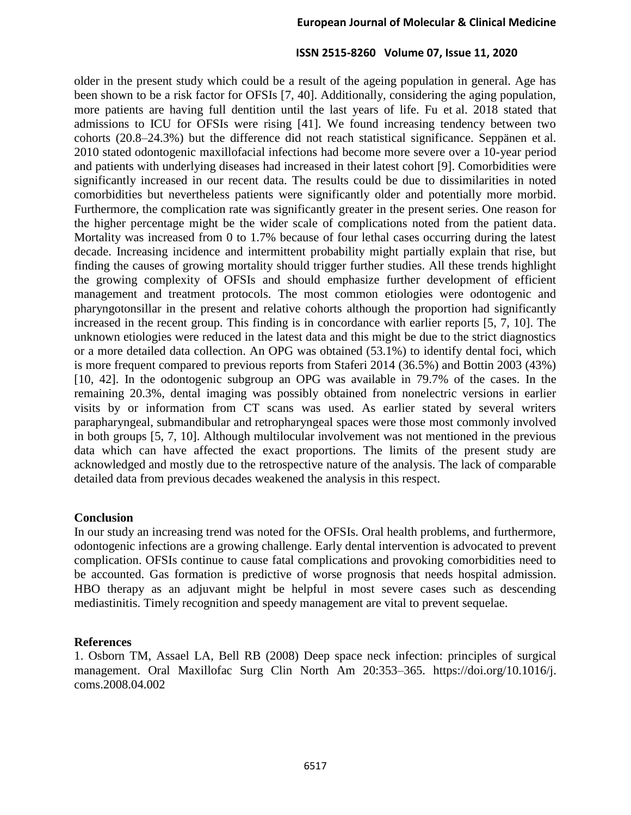older in the present study which could be a result of the ageing population in general. Age has been shown to be a risk factor for OFSIs [7, 40]. Additionally, considering the aging population, more patients are having full dentition until the last years of life. Fu et al. 2018 stated that admissions to ICU for OFSIs were rising [41]. We found increasing tendency between two cohorts (20.8–24.3%) but the difference did not reach statistical significance. Seppänen et al. 2010 stated odontogenic maxillofacial infections had become more severe over a 10-year period and patients with underlying diseases had increased in their latest cohort [9]. Comorbidities were significantly increased in our recent data. The results could be due to dissimilarities in noted comorbidities but nevertheless patients were significantly older and potentially more morbid. Furthermore, the complication rate was significantly greater in the present series. One reason for the higher percentage might be the wider scale of complications noted from the patient data. Mortality was increased from 0 to 1.7% because of four lethal cases occurring during the latest decade. Increasing incidence and intermittent probability might partially explain that rise, but finding the causes of growing mortality should trigger further studies. All these trends highlight the growing complexity of OFSIs and should emphasize further development of efficient management and treatment protocols. The most common etiologies were odontogenic and pharyngotonsillar in the present and relative cohorts although the proportion had significantly increased in the recent group. This finding is in concordance with earlier reports [5, 7, 10]. The unknown etiologies were reduced in the latest data and this might be due to the strict diagnostics or a more detailed data collection. An OPG was obtained (53.1%) to identify dental foci, which is more frequent compared to previous reports from Staferi 2014 (36.5%) and Bottin 2003 (43%) [10, 42]. In the odontogenic subgroup an OPG was available in 79.7% of the cases. In the remaining 20.3%, dental imaging was possibly obtained from nonelectric versions in earlier visits by or information from CT scans was used. As earlier stated by several writers parapharyngeal, submandibular and retropharyngeal spaces were those most commonly involved in both groups [5, 7, 10]. Although multilocular involvement was not mentioned in the previous data which can have affected the exact proportions. The limits of the present study are acknowledged and mostly due to the retrospective nature of the analysis. The lack of comparable detailed data from previous decades weakened the analysis in this respect.

#### **Conclusion**

In our study an increasing trend was noted for the OFSIs. Oral health problems, and furthermore, odontogenic infections are a growing challenge. Early dental intervention is advocated to prevent complication. OFSIs continue to cause fatal complications and provoking comorbidities need to be accounted. Gas formation is predictive of worse prognosis that needs hospital admission. HBO therapy as an adjuvant might be helpful in most severe cases such as descending mediastinitis. Timely recognition and speedy management are vital to prevent sequelae.

#### **References**

1. Osborn TM, Assael LA, Bell RB (2008) Deep space neck infection: principles of surgical management. Oral Maxillofac Surg Clin North Am 20:353–365. https://doi.org/10.1016/j. coms.2008.04.002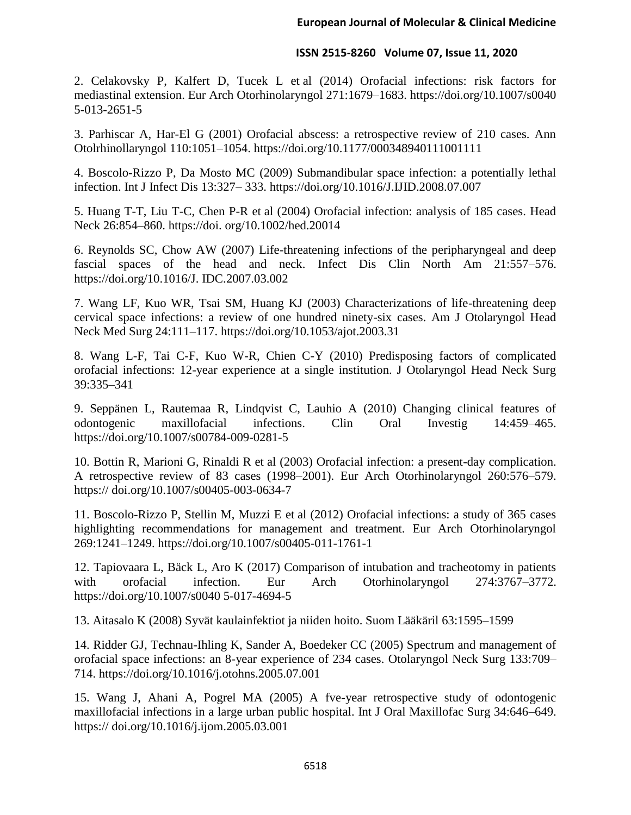2. Celakovsky P, Kalfert D, Tucek L et al (2014) Orofacial infections: risk factors for mediastinal extension. Eur Arch Otorhinolaryngol 271:1679–1683. https://doi.org/10.1007/s0040 5-013-2651-5

3. Parhiscar A, Har-El G (2001) Orofacial abscess: a retrospective review of 210 cases. Ann Otolrhinollaryngol 110:1051–1054. https://doi.org/10.1177/000348940111001111

4. Boscolo-Rizzo P, Da Mosto MC (2009) Submandibular space infection: a potentially lethal infection. Int J Infect Dis 13:327– 333. https://doi.org/10.1016/J.IJID.2008.07.007

5. Huang T-T, Liu T-C, Chen P-R et al (2004) Orofacial infection: analysis of 185 cases. Head Neck 26:854–860. https://doi. org/10.1002/hed.20014

6. Reynolds SC, Chow AW (2007) Life-threatening infections of the peripharyngeal and deep fascial spaces of the head and neck. Infect Dis Clin North Am 21:557–576. https://doi.org/10.1016/J. IDC.2007.03.002

7. Wang LF, Kuo WR, Tsai SM, Huang KJ (2003) Characterizations of life-threatening deep cervical space infections: a review of one hundred ninety-six cases. Am J Otolaryngol Head Neck Med Surg 24:111–117. https://doi.org/10.1053/ajot.2003.31

8. Wang L-F, Tai C-F, Kuo W-R, Chien C-Y (2010) Predisposing factors of complicated orofacial infections: 12-year experience at a single institution. J Otolaryngol Head Neck Surg 39:335–341

9. Seppänen L, Rautemaa R, Lindqvist C, Lauhio A (2010) Changing clinical features of odontogenic maxillofacial infections. Clin Oral Investig 14:459–465. https://doi.org/10.1007/s00784-009-0281-5

10. Bottin R, Marioni G, Rinaldi R et al (2003) Orofacial infection: a present-day complication. A retrospective review of 83 cases (1998–2001). Eur Arch Otorhinolaryngol 260:576–579. https:// doi.org/10.1007/s00405-003-0634-7

11. Boscolo-Rizzo P, Stellin M, Muzzi E et al (2012) Orofacial infections: a study of 365 cases highlighting recommendations for management and treatment. Eur Arch Otorhinolaryngol 269:1241–1249. https://doi.org/10.1007/s00405-011-1761-1

12. Tapiovaara L, Bäck L, Aro K (2017) Comparison of intubation and tracheotomy in patients with orofacial infection. Eur Arch Otorhinolaryngol 274:3767–3772. https://doi.org/10.1007/s0040 5-017-4694-5

13. Aitasalo K (2008) Syvät kaulainfektiot ja niiden hoito. Suom Lääkäril 63:1595–1599

14. Ridder GJ, Technau-Ihling K, Sander A, Boedeker CC (2005) Spectrum and management of orofacial space infections: an 8-year experience of 234 cases. Otolaryngol Neck Surg 133:709– 714. https://doi.org/10.1016/j.otohns.2005.07.001

15. Wang J, Ahani A, Pogrel MA (2005) A fve-year retrospective study of odontogenic maxillofacial infections in a large urban public hospital. Int J Oral Maxillofac Surg 34:646–649. https:// doi.org/10.1016/j.ijom.2005.03.001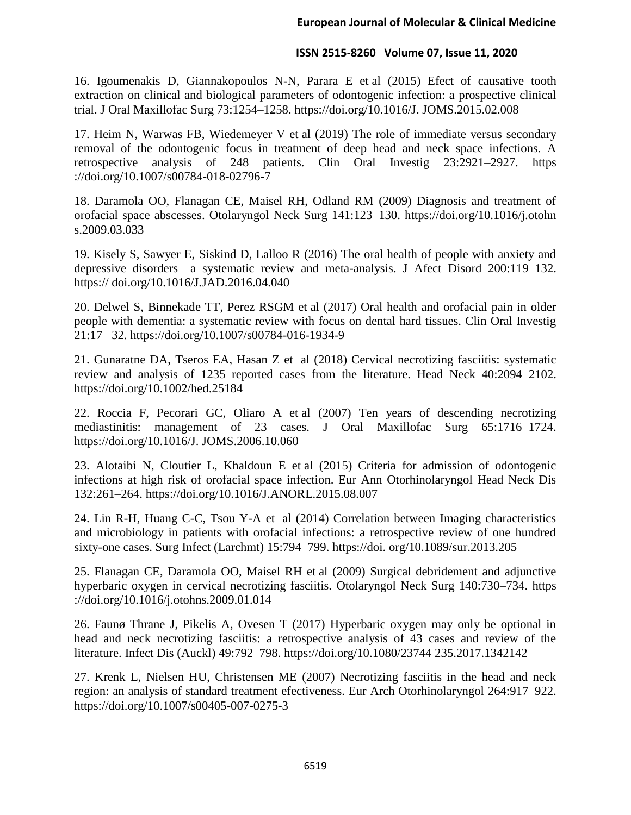16. Igoumenakis D, Giannakopoulos N-N, Parara E et al (2015) Efect of causative tooth extraction on clinical and biological parameters of odontogenic infection: a prospective clinical trial. J Oral Maxillofac Surg 73:1254–1258. https://doi.org/10.1016/J. JOMS.2015.02.008

17. Heim N, Warwas FB, Wiedemeyer V et al (2019) The role of immediate versus secondary removal of the odontogenic focus in treatment of deep head and neck space infections. A retrospective analysis of 248 patients. Clin Oral Investig 23:2921–2927. https ://doi.org/10.1007/s00784-018-02796-7

18. Daramola OO, Flanagan CE, Maisel RH, Odland RM (2009) Diagnosis and treatment of orofacial space abscesses. Otolaryngol Neck Surg 141:123–130. https://doi.org/10.1016/j.otohn s.2009.03.033

19. Kisely S, Sawyer E, Siskind D, Lalloo R (2016) The oral health of people with anxiety and depressive disorders—a systematic review and meta-analysis. J Afect Disord 200:119–132. https:// doi.org/10.1016/J.JAD.2016.04.040

20. Delwel S, Binnekade TT, Perez RSGM et al (2017) Oral health and orofacial pain in older people with dementia: a systematic review with focus on dental hard tissues. Clin Oral Investig 21:17– 32. https://doi.org/10.1007/s00784-016-1934-9

21. Gunaratne DA, Tseros EA, Hasan Z et al (2018) Cervical necrotizing fasciitis: systematic review and analysis of 1235 reported cases from the literature. Head Neck 40:2094–2102. https://doi.org/10.1002/hed.25184

22. Roccia F, Pecorari GC, Oliaro A et al (2007) Ten years of descending necrotizing mediastinitis: management of 23 cases. J Oral Maxillofac Surg 65:1716–1724. https://doi.org/10.1016/J. JOMS.2006.10.060

23. Alotaibi N, Cloutier L, Khaldoun E et al (2015) Criteria for admission of odontogenic infections at high risk of orofacial space infection. Eur Ann Otorhinolaryngol Head Neck Dis 132:261–264. https://doi.org/10.1016/J.ANORL.2015.08.007

24. Lin R-H, Huang C-C, Tsou Y-A et al (2014) Correlation between Imaging characteristics and microbiology in patients with orofacial infections: a retrospective review of one hundred sixty-one cases. Surg Infect (Larchmt) 15:794–799. https://doi. org/10.1089/sur.2013.205

25. Flanagan CE, Daramola OO, Maisel RH et al (2009) Surgical debridement and adjunctive hyperbaric oxygen in cervical necrotizing fasciitis. Otolaryngol Neck Surg 140:730–734. https ://doi.org/10.1016/j.otohns.2009.01.014

26. Faunø Thrane J, Pikelis A, Ovesen T (2017) Hyperbaric oxygen may only be optional in head and neck necrotizing fasciitis: a retrospective analysis of 43 cases and review of the literature. Infect Dis (Auckl) 49:792–798. https://doi.org/10.1080/23744 235.2017.1342142

27. Krenk L, Nielsen HU, Christensen ME (2007) Necrotizing fasciitis in the head and neck region: an analysis of standard treatment efectiveness. Eur Arch Otorhinolaryngol 264:917–922. https://doi.org/10.1007/s00405-007-0275-3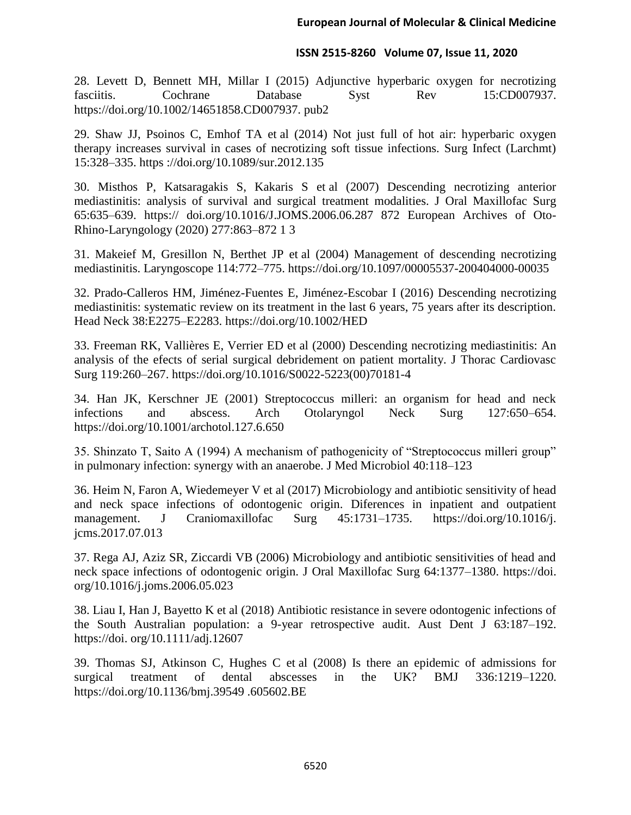28. Levett D, Bennett MH, Millar I (2015) Adjunctive hyperbaric oxygen for necrotizing fasciitis. Cochrane Database Syst Rev 15:CD007937. https://doi.org/10.1002/14651858.CD007937. pub2

29. Shaw JJ, Psoinos C, Emhof TA et al (2014) Not just full of hot air: hyperbaric oxygen therapy increases survival in cases of necrotizing soft tissue infections. Surg Infect (Larchmt) 15:328–335. https ://doi.org/10.1089/sur.2012.135

30. Misthos P, Katsaragakis S, Kakaris S et al (2007) Descending necrotizing anterior mediastinitis: analysis of survival and surgical treatment modalities. J Oral Maxillofac Surg 65:635–639. https:// doi.org/10.1016/J.JOMS.2006.06.287 872 European Archives of Oto-Rhino-Laryngology (2020) 277:863–872 1 3

31. Makeief M, Gresillon N, Berthet JP et al (2004) Management of descending necrotizing mediastinitis. Laryngoscope 114:772–775. https://doi.org/10.1097/00005537-200404000-00035

32. Prado-Calleros HM, Jiménez-Fuentes E, Jiménez-Escobar I (2016) Descending necrotizing mediastinitis: systematic review on its treatment in the last 6 years, 75 years after its description. Head Neck 38:E2275–E2283. https://doi.org/10.1002/HED

33. Freeman RK, Vallières E, Verrier ED et al (2000) Descending necrotizing mediastinitis: An analysis of the efects of serial surgical debridement on patient mortality. J Thorac Cardiovasc Surg 119:260–267. https://doi.org/10.1016/S0022-5223(00)70181-4

34. Han JK, Kerschner JE (2001) Streptococcus milleri: an organism for head and neck infections and abscess. Arch Otolaryngol Neck Surg 127:650–654. https://doi.org/10.1001/archotol.127.6.650

35. Shinzato T, Saito A (1994) A mechanism of pathogenicity of "Streptococcus milleri group" in pulmonary infection: synergy with an anaerobe. J Med Microbiol 40:118–123

36. Heim N, Faron A, Wiedemeyer V et al (2017) Microbiology and antibiotic sensitivity of head and neck space infections of odontogenic origin. Diferences in inpatient and outpatient management. J Craniomaxillofac Surg 45:1731–1735. https://doi.org/10.1016/j. jcms.2017.07.013

37. Rega AJ, Aziz SR, Ziccardi VB (2006) Microbiology and antibiotic sensitivities of head and neck space infections of odontogenic origin. J Oral Maxillofac Surg 64:1377–1380. https://doi. org/10.1016/j.joms.2006.05.023

38. Liau I, Han J, Bayetto K et al (2018) Antibiotic resistance in severe odontogenic infections of the South Australian population: a 9-year retrospective audit. Aust Dent J 63:187–192. https://doi. org/10.1111/adj.12607

39. Thomas SJ, Atkinson C, Hughes C et al (2008) Is there an epidemic of admissions for surgical treatment of dental abscesses in the UK? BMJ 336:1219–1220. https://doi.org/10.1136/bmj.39549 .605602.BE